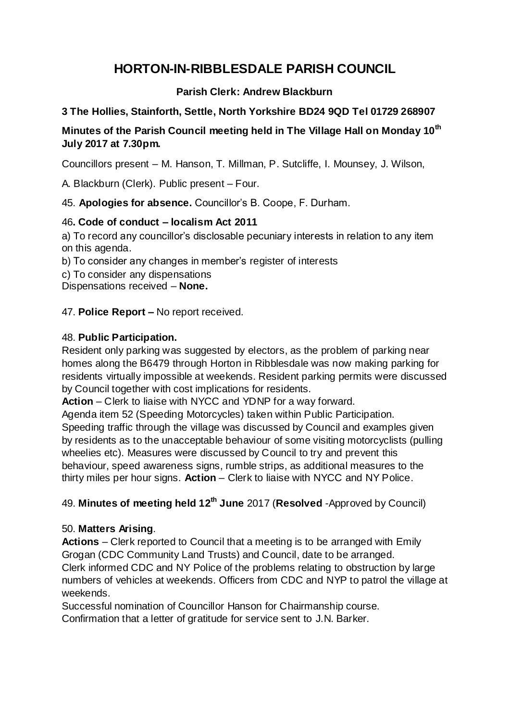# **HORTON-IN-RIBBLESDALE PARISH COUNCIL**

## **Parish Clerk: Andrew Blackburn**

## **3 The Hollies, Stainforth, Settle, North Yorkshire BD24 9QD Tel 01729 268907**

## **Minutes of the Parish Council meeting held in The Village Hall on Monday 10 th July 2017 at 7.30pm.**

Councillors present – M. Hanson, T. Millman, P. Sutcliffe, I. Mounsey, J. Wilson,

A. Blackburn (Clerk). Public present – Four.

45. **Apologies for absence.** Councillor's B. Coope, F. Durham.

## 46**. Code of conduct – localism Act 2011**

a) To record any councillor's disclosable pecuniary interests in relation to any item on this agenda.

b) To consider any changes in member's register of interests

c) To consider any dispensations

Dispensations received – **None.**

47. **Police Report –** No report received.

## 48. **Public Participation.**

Resident only parking was suggested by electors, as the problem of parking near homes along the B6479 through Horton in Ribblesdale was now making parking for residents virtually impossible at weekends. Resident parking permits were discussed by Council together with cost implications for residents.

**Action** – Clerk to liaise with NYCC and YDNP for a way forward.

Agenda item 52 (Speeding Motorcycles) taken within Public Participation.

Speeding traffic through the village was discussed by Council and examples given by residents as to the unacceptable behaviour of some visiting motorcyclists (pulling wheelies etc). Measures were discussed by Council to try and prevent this behaviour, speed awareness signs, rumble strips, as additional measures to the thirty miles per hour signs. **Action** – Clerk to liaise with NYCC and NY Police.

## 49. **Minutes of meeting held 12th June** 2017 (**Resolved** -Approved by Council)

## 50. **Matters Arising**.

**Actions** – Clerk reported to Council that a meeting is to be arranged with Emily Grogan (CDC Community Land Trusts) and Council, date to be arranged. Clerk informed CDC and NY Police of the problems relating to obstruction by large numbers of vehicles at weekends. Officers from CDC and NYP to patrol the village at weekends.

Successful nomination of Councillor Hanson for Chairmanship course. Confirmation that a letter of gratitude for service sent to J.N. Barker.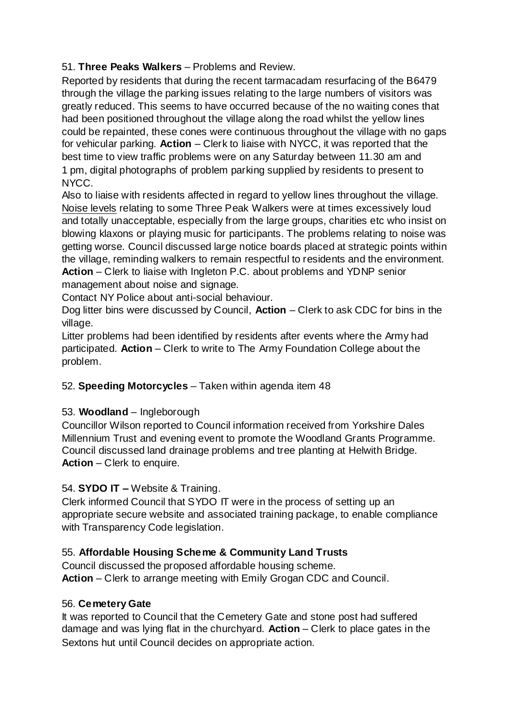## 51. **Three Peaks Walkers** – Problems and Review.

Reported by residents that during the recent tarmacadam resurfacing of the B6479 through the village the parking issues relating to the large numbers of visitors was greatly reduced. This seems to have occurred because of the no waiting cones that had been positioned throughout the village along the road whilst the yellow lines could be repainted, these cones were continuous throughout the village with no gaps for vehicular parking. **Action** – Clerk to liaise with NYCC, it was reported that the best time to view traffic problems were on any Saturday between 11.30 am and 1 pm, digital photographs of problem parking supplied by residents to present to NYCC.

Also to liaise with residents affected in regard to yellow lines throughout the village. Noise levels relating to some Three Peak Walkers were at times excessively loud and totally unacceptable, especially from the large groups, charities etc who insist on blowing klaxons or playing music for participants. The problems relating to noise was getting worse. Council discussed large notice boards placed at strategic points within the village, reminding walkers to remain respectful to residents and the environment. **Action** – Clerk to liaise with Ingleton P.C. about problems and YDNP senior management about noise and signage.

Contact NY Police about anti-social behaviour.

Dog litter bins were discussed by Council, **Action** – Clerk to ask CDC for bins in the village.

Litter problems had been identified by residents after events where the Army had participated. **Action** – Clerk to write to The Army Foundation College about the problem.

#### 52. **Speeding Motorcycles** – Taken within agenda item 48

#### 53. **Woodland** – Ingleborough

Councillor Wilson reported to Council information received from Yorkshire Dales Millennium Trust and evening event to promote the Woodland Grants Programme. Council discussed land drainage problems and tree planting at Helwith Bridge. **Action** – Clerk to enquire.

#### 54. **SYDO IT –** Website & Training.

Clerk informed Council that SYDO IT were in the process of setting up an appropriate secure website and associated training package, to enable compliance with Transparency Code legislation.

## 55. **Affordable Housing Scheme & Community Land Trusts**

Council discussed the proposed affordable housing scheme. **Action** – Clerk to arrange meeting with Emily Grogan CDC and Council.

#### 56. **Cemetery Gate**

It was reported to Council that the Cemetery Gate and stone post had suffered damage and was lying flat in the churchyard. **Action** – Clerk to place gates in the Sextons hut until Council decides on appropriate action.